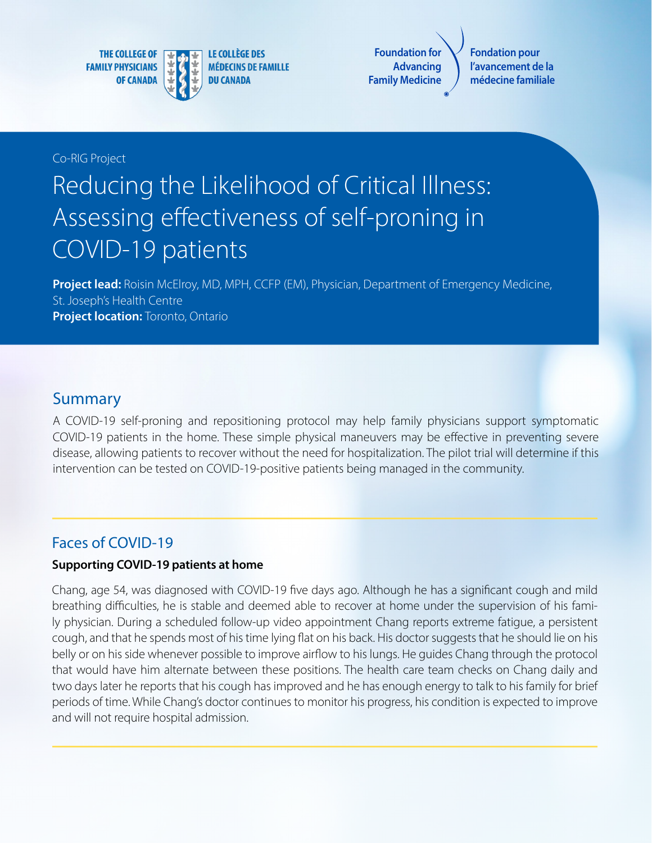**THE COLLEGE OF FAMILY PHYSICIANS OF CANADA** 



**LE COLLÈGE DES MÉDECINS DE FAMILLE DU CANADA** 

**Foundation for Advancing Family Medicine**

**Fondation pour l'avancement de la médecine familiale**

#### Co-RIG Project

# Reducing the Likelihood of Critical Illness: Assessing effectiveness of self-proning in COVID-19 patients

**Project lead:** Roisin McElroy, MD, MPH, CCFP (EM), Physician, Department of Emergency Medicine, St. Joseph's Health Centre **Project location:** Toronto, Ontario

#### Summary

A COVID-19 self-proning and repositioning protocol may help family physicians support symptomatic COVID-19 patients in the home. These simple physical maneuvers may be effective in preventing severe disease, allowing patients to recover without the need for hospitalization. The pilot trial will determine if this intervention can be tested on COVID-19-positive patients being managed in the community.

### Faces of COVID-19

#### **Supporting COVID-19 patients at home**

Chang, age 54, was diagnosed with COVID-19 five days ago. Although he has a significant cough and mild breathing difficulties, he is stable and deemed able to recover at home under the supervision of his family physician. During a scheduled follow-up video appointment Chang reports extreme fatigue, a persistent cough, and that he spends most of his time lying flat on his back. His doctor suggests that he should lie on his belly or on his side whenever possible to improve airflow to his lungs. He guides Chang through the protocol that would have him alternate between these positions. The health care team checks on Chang daily and two days later he reports that his cough has improved and he has enough energy to talk to his family for brief periods of time. While Chang's doctor continues to monitor his progress, his condition is expected to improve and will not require hospital admission.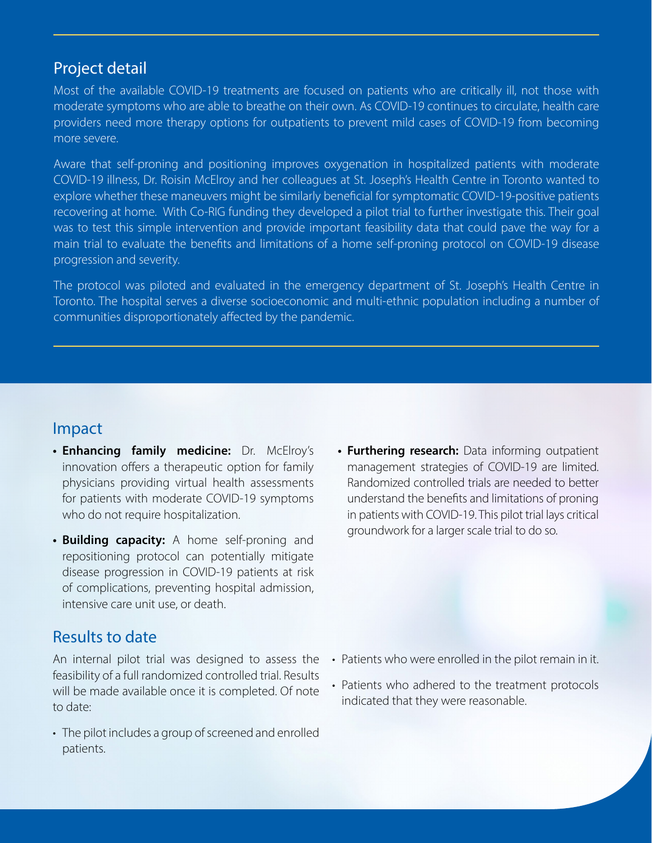## Project detail

Most of the available COVID-19 treatments are focused on patients who are critically ill, not those with moderate symptoms who are able to breathe on their own. As COVID-19 continues to circulate, health care providers need more therapy options for outpatients to prevent mild cases of COVID-19 from becoming more severe.

Aware that self-proning and positioning improves oxygenation in hospitalized patients with moderate COVID-19 illness, Dr. Roisin McElroy and her colleagues at St. Joseph's Health Centre in Toronto wanted to explore whether these maneuvers might be similarly beneficial for symptomatic COVID-19-positive patients recovering at home. With Co-RIG funding they developed a pilot trial to further investigate this. Their goal was to test this simple intervention and provide important feasibility data that could pave the way for a main trial to evaluate the benefits and limitations of a home self-proning protocol on COVID-19 disease progression and severity.

The protocol was piloted and evaluated in the emergency department of St. Joseph's Health Centre in Toronto. The hospital serves a diverse socioeconomic and multi-ethnic population including a number of communities disproportionately affected by the pandemic.

### Impact

- **• Enhancing family medicine:** Dr. McElroy's innovation offers a therapeutic option for family physicians providing virtual health assessments for patients with moderate COVID-19 symptoms who do not require hospitalization.
- **• Building capacity:** A home self-proning and repositioning protocol can potentially mitigate disease progression in COVID-19 patients at risk of complications, preventing hospital admission, intensive care unit use, or death.

# Results to date

An internal pilot trial was designed to assess the feasibility of a full randomized controlled trial. Results will be made available once it is completed. Of note to date:

• The pilot includes a group of screened and enrolled patients.

**• Furthering research:** Data informing outpatient management strategies of COVID-19 are limited. Randomized controlled trials are needed to better understand the benefits and limitations of proning in patients with COVID-19. This pilot trial lays critical groundwork for a larger scale trial to do so.

- Patients who were enrolled in the pilot remain in it.
- Patients who adhered to the treatment protocols indicated that they were reasonable.